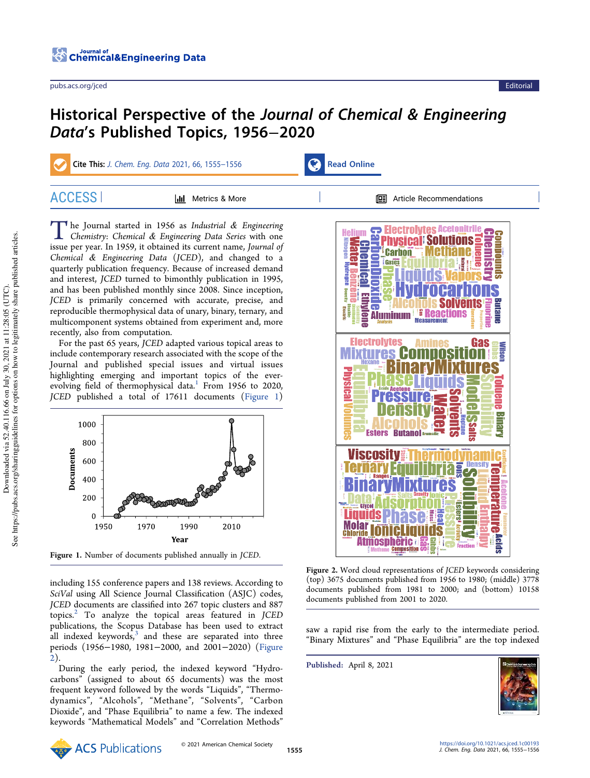

## Historical Perspective of the Journal of Chemical & Engineering Data's Published Topics, 1956−2020

Cite This: J. Chem. Eng. Data 2021, 66, 1555–1556 Read Online

The Journal started in 1956 as Industrial & Engineering Chemistry: Chemical & Engineering Data Series with one issue per year. In 1959, it obtained its current name, Journal of  $\blacksquare$  he Journal started in 1956 as Industrial & Engineering Chemistry: Chemical & Engineering Data Series with one Chemical & Engineering Data (JCED), and changed to a quarterly publication frequency. Because of increased demand and interest, JCED turned to bimonthly publication in 1995, and has been published monthly since 2008. Since inception, JCED is primarily concerned with accurate, precise, and reproducible thermophysical data of unary, binary, ternary, and multicomponent systems obtained from experiment and, more recently, also from computation.

For the past 65 years, JCED adapted various topical areas to include contemporary research associated with the scope of the Journal and published special issues and virtual issues highlighting emerging and important topics of the everevolving field of thermophysical data.<sup>1</sup> From 1956 to 2020, JCED published a total of 17611 documents (Figure 1)



Figure 1. Number of documents published annually in JCED.

including 155 conference papers and 138 reviews. According to SciVal using All Science Journal Classification (ASJC) codes, JCED documents are classified into 267 topic clusters and 887 topics. $2$  To analyze the topical areas featured in JCED publications, the Scopus Database has been used to extract all indexed keywords, $3$  and these are separated into three periods (1956−1980, 1981−2000, and 2001−2020) (Figure 2).

During the early period, the indexed keyword "Hydrocarbons" (assigned to about 65 documents) was the most frequent keyword followed by the words "Liquids", "Thermodynamics", "Alcohols", "Methane", "Solvents", "Carbon Dioxide", and "Phase Equilibria" to name a few. The indexed keywords "Mathematical Models" and "Correlation Methods"



Figure 2. Word cloud representations of JCED keywords considering (top) 3675 documents published from 1956 to 1980; (middle) 3778 documents published from 1981 to 2000; and (bottom) 10158 documents published from 2001 to 2020.

saw a rapid rise from the early to the intermediate period. "Binary Mixtures" and "Phase Equilibria" are the top indexed

Published: April 8, 2021